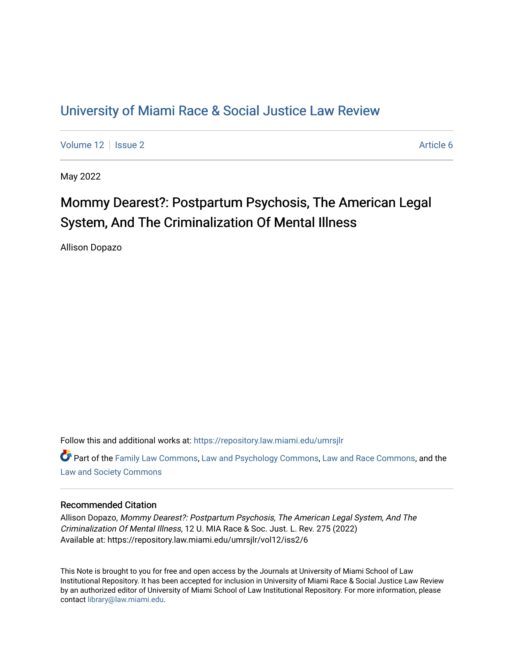## [University of Miami Race & Social Justice Law Review](https://repository.law.miami.edu/umrsjlr)

[Volume 12](https://repository.law.miami.edu/umrsjlr/vol12) | [Issue 2](https://repository.law.miami.edu/umrsjlr/vol12/iss2) Article 6

May 2022

# Mommy Dearest?: Postpartum Psychosis, The American Legal System, And The Criminalization Of Mental Illness

Allison Dopazo

Follow this and additional works at: [https://repository.law.miami.edu/umrsjlr](https://repository.law.miami.edu/umrsjlr?utm_source=repository.law.miami.edu%2Fumrsjlr%2Fvol12%2Fiss2%2F6&utm_medium=PDF&utm_campaign=PDFCoverPages)

Part of the [Family Law Commons,](https://network.bepress.com/hgg/discipline/602?utm_source=repository.law.miami.edu%2Fumrsjlr%2Fvol12%2Fiss2%2F6&utm_medium=PDF&utm_campaign=PDFCoverPages) [Law and Psychology Commons,](https://network.bepress.com/hgg/discipline/870?utm_source=repository.law.miami.edu%2Fumrsjlr%2Fvol12%2Fiss2%2F6&utm_medium=PDF&utm_campaign=PDFCoverPages) [Law and Race Commons,](https://network.bepress.com/hgg/discipline/1300?utm_source=repository.law.miami.edu%2Fumrsjlr%2Fvol12%2Fiss2%2F6&utm_medium=PDF&utm_campaign=PDFCoverPages) and the [Law and Society Commons](https://network.bepress.com/hgg/discipline/853?utm_source=repository.law.miami.edu%2Fumrsjlr%2Fvol12%2Fiss2%2F6&utm_medium=PDF&utm_campaign=PDFCoverPages) 

### Recommended Citation

Allison Dopazo, Mommy Dearest?: Postpartum Psychosis, The American Legal System, And The Criminalization Of Mental Illness, 12 U. MIA Race & Soc. Just. L. Rev. 275 (2022) Available at: https://repository.law.miami.edu/umrsjlr/vol12/iss2/6

This Note is brought to you for free and open access by the Journals at University of Miami School of Law Institutional Repository. It has been accepted for inclusion in University of Miami Race & Social Justice Law Review by an authorized editor of University of Miami School of Law Institutional Repository. For more information, please contact [library@law.miami.edu](mailto:library@law.miami.edu).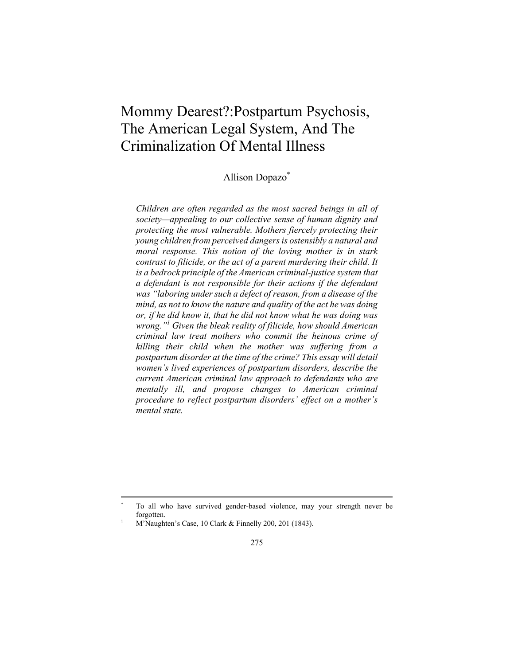## Mommy Dearest?:Postpartum Psychosis, The American Legal System, And The Criminalization Of Mental Illness

Allison Dopazo\*

*Children are often regarded as the most sacred beings in all of society—appealing to our collective sense of human dignity and protecting the most vulnerable. Mothers fiercely protecting their young children from perceived dangers is ostensibly a natural and moral response. This notion of the loving mother is in stark contrast to filicide, or the act of a parent murdering their child. It is a bedrock principle of the American criminal-justice system that a defendant is not responsible for their actions if the defendant was "laboring under such a defect of reason, from a disease of the mind, as not to know the nature and quality of the act he was doing or, if he did know it, that he did not know what he was doing was wrong."1 Given the bleak reality of filicide, how should American criminal law treat mothers who commit the heinous crime of killing their child when the mother was suffering from a postpartum disorder at the time of the crime? This essay will detail women's lived experiences of postpartum disorders, describe the current American criminal law approach to defendants who are mentally ill, and propose changes to American criminal procedure to reflect postpartum disorders' effect on a mother's mental state.* 

To all who have survived gender-based violence, may your strength never be forgotten. 1 M'Naughten's Case, 10 Clark & Finnelly 200, 201 (1843).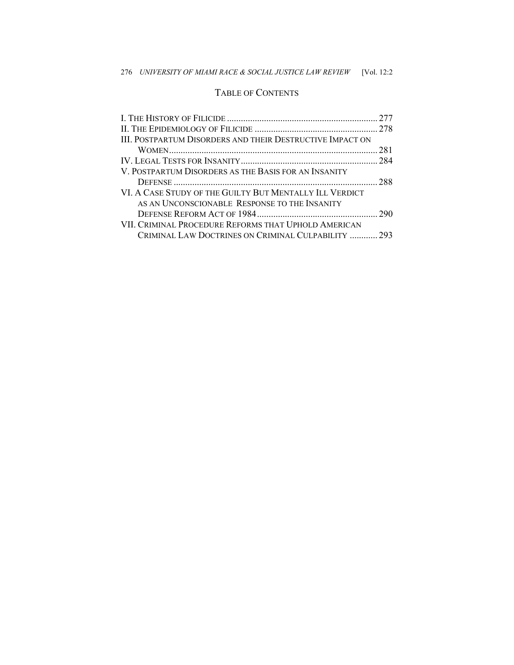## TABLE OF CONTENTS

| III. POSTPARTUM DISORDERS AND THEIR DESTRUCTIVE IMPACT ON<br>V. POSTPARTUM DISORDERS AS THE BASIS FOR AN INSANITY<br>VI. A CASE STUDY OF THE GUILTY BUT MENTALLY ILL VERDICT<br>AS AN UNCONSCIONABLE RESPONSE TO THE INSANITY<br>VII. CRIMINAL PROCEDURE REFORMS THAT UPHOLD AMERICAN<br>CRIMINAL LAW DOCTRINES ON CRIMINAL CULPABILITY  293 |  |
|----------------------------------------------------------------------------------------------------------------------------------------------------------------------------------------------------------------------------------------------------------------------------------------------------------------------------------------------|--|
|                                                                                                                                                                                                                                                                                                                                              |  |
|                                                                                                                                                                                                                                                                                                                                              |  |
|                                                                                                                                                                                                                                                                                                                                              |  |
|                                                                                                                                                                                                                                                                                                                                              |  |
|                                                                                                                                                                                                                                                                                                                                              |  |
|                                                                                                                                                                                                                                                                                                                                              |  |
|                                                                                                                                                                                                                                                                                                                                              |  |
|                                                                                                                                                                                                                                                                                                                                              |  |
|                                                                                                                                                                                                                                                                                                                                              |  |
|                                                                                                                                                                                                                                                                                                                                              |  |
|                                                                                                                                                                                                                                                                                                                                              |  |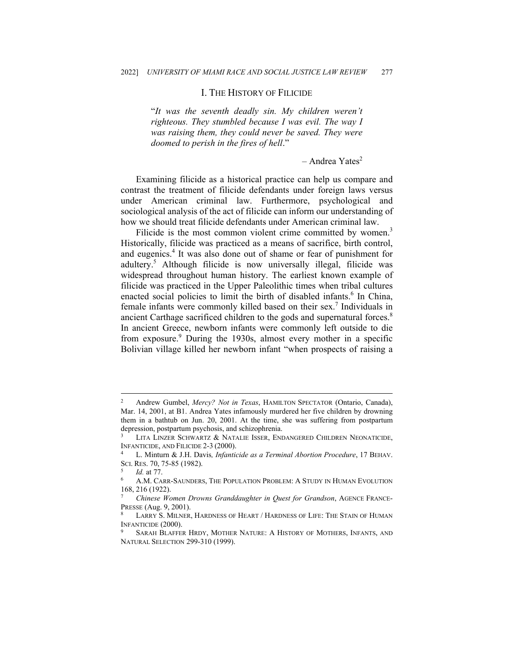#### I. THE HISTORY OF FILICIDE

"*It was the seventh deadly sin. My children weren't righteous. They stumbled because I was evil. The way I was raising them, they could never be saved. They were doomed to perish in the fires of hell*."

 $-$  Andrea Yates<sup>2</sup>

Examining filicide as a historical practice can help us compare and contrast the treatment of filicide defendants under foreign laws versus under American criminal law. Furthermore, psychological and sociological analysis of the act of filicide can inform our understanding of how we should treat filicide defendants under American criminal law.

Filicide is the most common violent crime committed by women.<sup>3</sup> Historically, filicide was practiced as a means of sacrifice, birth control, and eugenics.<sup>4</sup> It was also done out of shame or fear of punishment for adultery.5 Although filicide is now universally illegal, filicide was widespread throughout human history. The earliest known example of filicide was practiced in the Upper Paleolithic times when tribal cultures enacted social policies to limit the birth of disabled infants.<sup>6</sup> In China, female infants were commonly killed based on their sex.<sup>7</sup> Individuals in ancient Carthage sacrificed children to the gods and supernatural forces.<sup>8</sup> In ancient Greece, newborn infants were commonly left outside to die from exposure.<sup>9</sup> During the 1930s, almost every mother in a specific Bolivian village killed her newborn infant "when prospects of raising a

<sup>2</sup> Andrew Gumbel, *Mercy? Not in Texas*, HAMILTON SPECTATOR (Ontario, Canada), Mar. 14, 2001, at B1. Andrea Yates infamously murdered her five children by drowning them in a bathtub on Jun. 20, 2001. At the time, she was suffering from postpartum depression, postpartum psychosis, and schizophrenia.<br><sup>3</sup> LITA LINZER SCHWARTZ & NATALIE ISSER, ENDANGERED CHILDREN NEONATICIDE,

INFANTICIDE, AND FILICIDE 2-3 (2000). 4 L. Minturn & J.H. Davis*, Infanticide as a Terminal Abortion Procedure*, 17 BEHAV.

SCI. RES. 70, 75-85 (1982).<br><sup>5</sup> Id. at 77.<br><sup>6</sup> A.M. Carr-Saunders, The Population Problem: A Study in Human Evolution

<sup>168, 216 (1922).</sup> 

<sup>7</sup> *Chinese Women Drowns Granddaughter in Quest for Grandson*, AGENCE FRANCE-PRESSE (Aug. 9, 2001). 8 LARRY S. MILNER, HARDNESS OF HEART / HARDNESS OF LIFE: THE STAIN OF HUMAN

INFANTICIDE (2000).<br><sup>9</sup> SARAH BLAFFER HRDY, MOTHER NATURE: A HISTORY OF MOTHERS, INFANTS, AND

NATURAL SELECTION 299-310 (1999).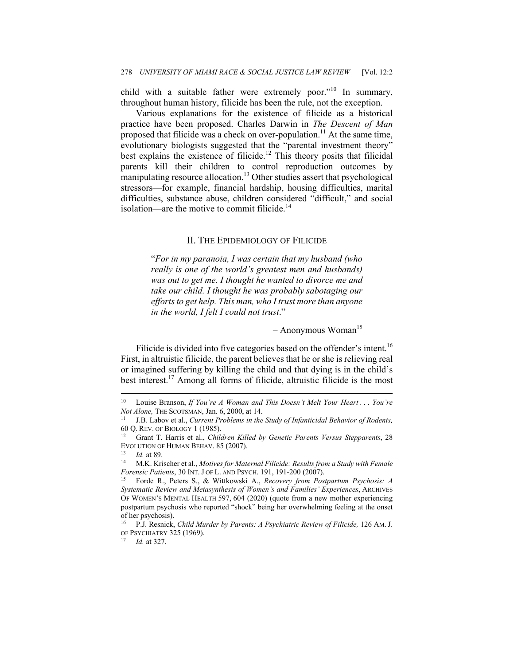child with a suitable father were extremely poor."<sup>10</sup> In summary, throughout human history, filicide has been the rule, not the exception.

Various explanations for the existence of filicide as a historical practice have been proposed. Charles Darwin in *The Descent of Man*  proposed that filicide was a check on over-population.<sup>11</sup> At the same time, evolutionary biologists suggested that the "parental investment theory" best explains the existence of filicide.<sup>12</sup> This theory posits that filicidal parents kill their children to control reproduction outcomes by manipulating resource allocation.<sup>13</sup> Other studies assert that psychological stressors—for example, financial hardship, housing difficulties, marital difficulties, substance abuse, children considered "difficult," and social isolation—are the motive to commit filicide. $14$ 

#### II. THE EPIDEMIOLOGY OF FILICIDE

"*For in my paranoia, I was certain that my husband (who really is one of the world's greatest men and husbands) was out to get me. I thought he wanted to divorce me and take our child. I thought he was probably sabotaging our efforts to get help. This man, who I trust more than anyone in the world, I felt I could not trust*."

 $-$  Anonymous Woman<sup>15</sup>

Filicide is divided into five categories based on the offender's intent.<sup>16</sup> First, in altruistic filicide, the parent believes that he or she is relieving real or imagined suffering by killing the child and that dying is in the child's best interest.17 Among all forms of filicide, altruistic filicide is the most

<sup>10</sup> Louise Branson, *If You're A Woman and This Doesn't Melt Your Heart . . . You're Not Alone, THE SCOTSMAN, Jan. 6, 2000, at 14. Infanticidal Behavior of Rodents, II* J.B. Labov et al., *Current Problems in the Study of Infanticidal Behavior of Rodents,* 

<sup>60</sup> Q. REV. OF BIOLOGY 1 (1985). 12 Grant T. Harris et al., *Children Killed by Genetic Parents Versus Stepparents*, 28

EVOLUTION OF HUMAN BEHAV. 85 (2007).<br><sup>13</sup> Id. at 89.<br><sup>14</sup> M.K. Krischer et al., *Motives for Maternal Filicide: Results from a Study with Female* 

*Forensic Patients*, 30 INT. J OF L. AND PSYCH. 191, 191-200 (2007).<br><sup>15</sup> Forde R., Peters S., & Wittkowski A., *Recovery from Postpartum Psychosis: A* 

*Systematic Review and Metasynthesis of Women's and Families' Experiences*, ARCHIVES OF WOMEN'S MENTAL HEALTH 597, 604 (2020) (quote from a new mother experiencing postpartum psychosis who reported "shock" being her overwhelming feeling at the onset of her psychosis).

<sup>16</sup> P.J. Resnick, *Child Murder by Parents: A Psychiatric Review of Filicide,* 126 AM. J. OF PSYCHIATRY 325 (1969). 17 *Id.* at 327.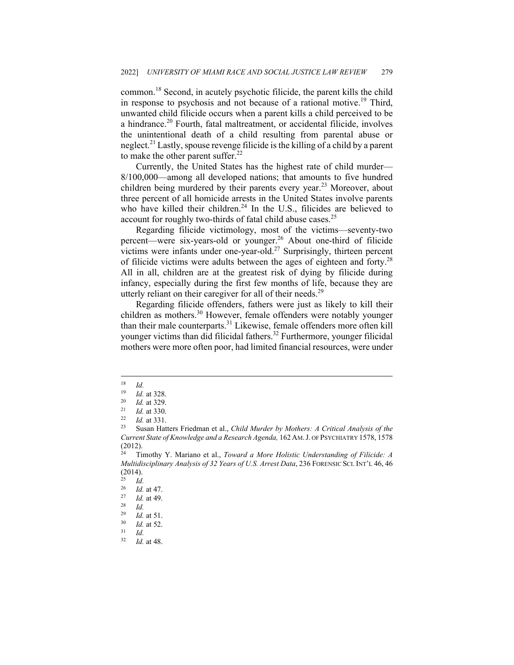common.<sup>18</sup> Second, in acutely psychotic filicide, the parent kills the child in response to psychosis and not because of a rational motive.<sup>19</sup> Third, unwanted child filicide occurs when a parent kills a child perceived to be a hindrance.<sup>20</sup> Fourth, fatal maltreatment, or accidental filicide, involves the unintentional death of a child resulting from parental abuse or neglect.<sup>21</sup> Lastly, spouse revenge filicide is the killing of a child by a parent to make the other parent suffer. $^{22}$ 

Currently, the United States has the highest rate of child murder— 8/100,000—among all developed nations; that amounts to five hundred children being murdered by their parents every year.<sup>23</sup> Moreover, about three percent of all homicide arrests in the United States involve parents who have killed their children.<sup>24</sup> In the U.S., filicides are believed to account for roughly two-thirds of fatal child abuse cases.<sup>25</sup>

Regarding filicide victimology, most of the victims—seventy-two percent—were six-years-old or younger.<sup>26</sup> About one-third of filicide victims were infants under one-year-old.<sup>27</sup> Surprisingly, thirteen percent of filicide victims were adults between the ages of eighteen and forty.<sup>28</sup> All in all, children are at the greatest risk of dying by filicide during infancy, especially during the first few months of life, because they are utterly reliant on their caregiver for all of their needs.<sup>29</sup>

Regarding filicide offenders, fathers were just as likely to kill their children as mothers.<sup>30</sup> However, female offenders were notably younger than their male counterparts.<sup>31</sup> Likewise, female offenders more often kill younger victims than did filicidal fathers.<sup>32</sup> Furthermore, younger filicidal mothers were more often poor, had limited financial resources, were under

 $\frac{18}{19}$  *Id.* 

<sup>19</sup> *Id.* at 328.<br>
<sup>20</sup> *Id.* at 329.<br>
<sup>21</sup> *Id.* at 330.<br>
<sup>22</sup> *Id.* at 331.<br>
<sup>23</sup> Susan Hatters Friedman et al., *Child Murder by Mothers: A Critical Analysis of the Current State of Knowledge and a Research Agenda,* 162 AM.J. OF PSYCHIATRY 1578, 1578  $(2012)$ 

<sup>24</sup> Timothy Y. Mariano et al., *Toward a More Holistic Understanding of Filicide: A Multidisciplinary Analysis of 32 Years of U.S. Arrest Data*, 236 FORENSIC SCI. INT'L 46, 46  $(2014)$ .<br>25 *Id* 

 $rac{25}{26}$  *Id.* 

<sup>26</sup> *Id.* at 47. 27 *Id.* at 49. 28 *Id.*

<sup>29</sup> *Id.* at 51. 30 *Id.* at 52. 31 *Id.*

*Id.* at 48.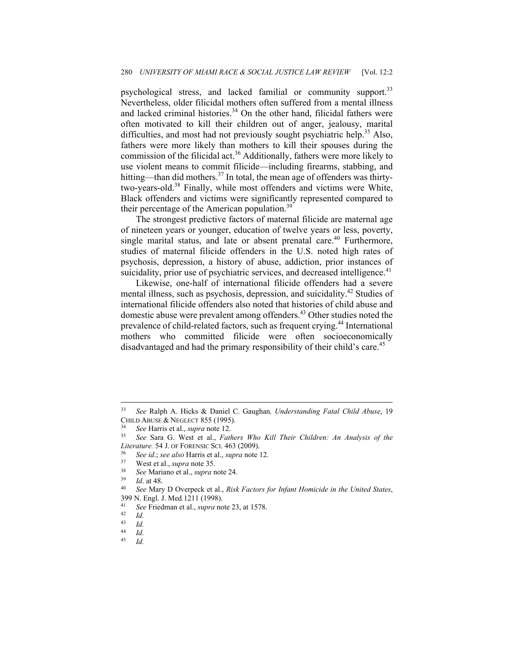psychological stress, and lacked familial or community support.<sup>33</sup> Nevertheless, older filicidal mothers often suffered from a mental illness and lacked criminal histories. $34$  On the other hand, filicidal fathers were often motivated to kill their children out of anger, jealousy, marital difficulties, and most had not previously sought psychiatric help.<sup>35</sup> Also, fathers were more likely than mothers to kill their spouses during the commission of the filicidal act.<sup>36</sup> Additionally, fathers were more likely to use violent means to commit filicide—including firearms, stabbing, and hitting—than did mothers.<sup>37</sup> In total, the mean age of offenders was thirtytwo-years-old.38 Finally, while most offenders and victims were White, Black offenders and victims were significantly represented compared to their percentage of the American population.<sup>39</sup>

The strongest predictive factors of maternal filicide are maternal age of nineteen years or younger, education of twelve years or less, poverty, single marital status, and late or absent prenatal care.<sup>40</sup> Furthermore, studies of maternal filicide offenders in the U.S. noted high rates of psychosis, depression, a history of abuse, addiction, prior instances of suicidality, prior use of psychiatric services, and decreased intelligence.<sup>41</sup>

Likewise, one-half of international filicide offenders had a severe mental illness, such as psychosis, depression, and suicidality.<sup>42</sup> Studies of international filicide offenders also noted that histories of child abuse and domestic abuse were prevalent among offenders.<sup>43</sup> Other studies noted the prevalence of child-related factors, such as frequent crying.44 International mothers who committed filicide were often socioeconomically disadvantaged and had the primary responsibility of their child's care.<sup>45</sup>

<sup>33</sup> *See* Ralph A. Hicks & Daniel C. Gaughan*, Understanding Fatal Child Abuse*, 19 CHILD ABUSE & NEGLECT 855 (1995). 34 *See* Harris et al., *supra* note 12. 35 *See* Sara G. West et al., *Fathers Who Kill Their Children: An Analysis of the* 

Literature. 54 J. OF FORENSIC SCI. 463 (2009).<br>
<sup>36</sup> See id.; see also Harris et al., *supra* note 12.<br>
<sup>37</sup> West et al., *supra* note 35.<br>
<sup>38</sup> See Mariano et al., *supra* note 24.<br>
<sup>39</sup> Id. at 48.<br>
See Mary D Overpeck et

<sup>399</sup> N. Engl. J. Med*.*<sup>1211</sup> (1998). 41 *See* Friedman et al., *supra* note 23, at 1578. 42 *Id.*

 $\begin{array}{cc} 43 & Id. \\ 44 & I. \end{array}$ 

 $\frac{44}{45}$  *Id.* 

<sup>45</sup> *Id.*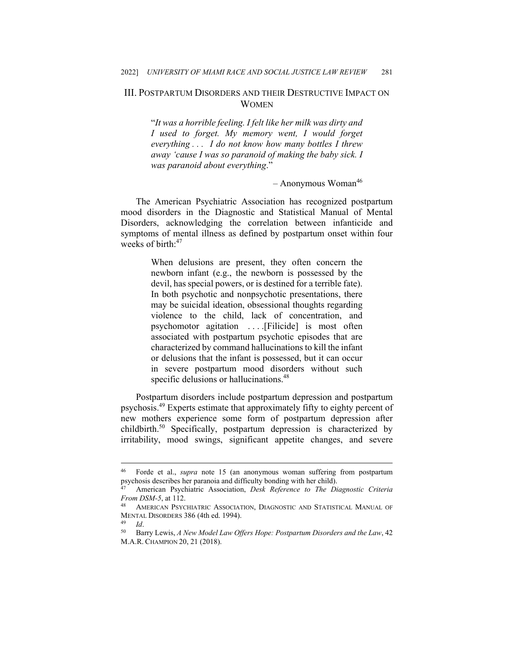### III. POSTPARTUM DISORDERS AND THEIR DESTRUCTIVE IMPACT ON **WOMEN**

"*It was a horrible feeling. I felt like her milk was dirty and I used to forget. My memory went, I would forget everything . . . I do not know how many bottles I threw away 'cause I was so paranoid of making the baby sick. I was paranoid about everything*."

#### $-$  Anonymous Woman<sup>46</sup>

The American Psychiatric Association has recognized postpartum mood disorders in the Diagnostic and Statistical Manual of Mental Disorders, acknowledging the correlation between infanticide and symptoms of mental illness as defined by postpartum onset within four weeks of birth:<sup>47</sup>

> When delusions are present, they often concern the newborn infant (e.g., the newborn is possessed by the devil, has special powers, or is destined for a terrible fate). In both psychotic and nonpsychotic presentations, there may be suicidal ideation, obsessional thoughts regarding violence to the child, lack of concentration, and psychomotor agitation . . . .[Filicide] is most often associated with postpartum psychotic episodes that are characterized by command hallucinations to kill the infant or delusions that the infant is possessed, but it can occur in severe postpartum mood disorders without such specific delusions or hallucinations.<sup>48</sup>

Postpartum disorders include postpartum depression and postpartum psychosis.<sup>49</sup> Experts estimate that approximately fifty to eighty percent of new mothers experience some form of postpartum depression after childbirth.50 Specifically, postpartum depression is characterized by irritability, mood swings, significant appetite changes, and severe

<sup>46</sup> Forde et al., *supra* note 15 (an anonymous woman suffering from postpartum psychosis describes her paranoia and difficulty bonding with her child). 47 American Psychiatric Association, *Desk Reference to The Diagnostic Criteria* 

*From DSM-5*, at 112.

AMERICAN PSYCHIATRIC ASSOCIATION, DIAGNOSTIC AND STATISTICAL MANUAL OF MENTAL DISORDERS 386 (4th ed. 1994).<br><sup>49</sup> Id. 50 Barry Lewis, *A New Model Law Offers Hope: Postpartum Disorders and the Law*, 42

M.A.R. CHAMPION 20, 21 (2018).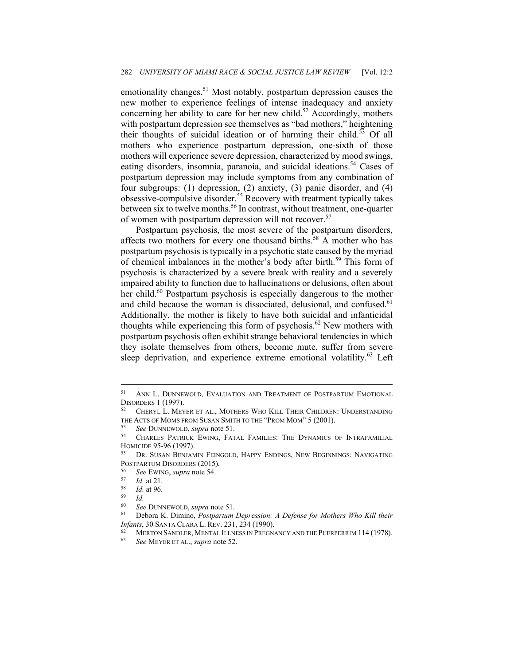emotionality changes.<sup>51</sup> Most notably, postpartum depression causes the new mother to experience feelings of intense inadequacy and anxiety concerning her ability to care for her new child.<sup>52</sup> Accordingly, mothers with postpartum depression see themselves as "bad mothers," heightening their thoughts of suicidal ideation or of harming their child.<sup>53</sup> Of all mothers who experience postpartum depression, one-sixth of those mothers will experience severe depression, characterized by mood swings, eating disorders, insomnia, paranoia, and suicidal ideations.<sup>54</sup> Cases of postpartum depression may include symptoms from any combination of four subgroups: (1) depression, (2) anxiety, (3) panic disorder, and (4) obsessive-compulsive disorder.<sup>55</sup> Recovery with treatment typically takes between six to twelve months.<sup>56</sup> In contrast, without treatment, one-quarter of women with postpartum depression will not recover.<sup>57</sup>

Postpartum psychosis, the most severe of the postpartum disorders, affects two mothers for every one thousand births.<sup>58</sup> A mother who has postpartum psychosis is typically in a psychotic state caused by the myriad of chemical imbalances in the mother's body after birth.<sup>59</sup> This form of psychosis is characterized by a severe break with reality and a severely impaired ability to function due to hallucinations or delusions, often about her child.<sup>60</sup> Postpartum psychosis is especially dangerous to the mother and child because the woman is dissociated, delusional, and confused.<sup>61</sup> Additionally, the mother is likely to have both suicidal and infanticidal thoughts while experiencing this form of psychosis.<sup>62</sup> New mothers with postpartum psychosis often exhibit strange behavioral tendencies in which they isolate themselves from others, become mute, suffer from severe sleep deprivation, and experience extreme emotional volatility.<sup>63</sup> Left

<sup>51</sup> ANN L. DUNNEWOLD*,* EVALUATION AND TREATMENT OF POSTPARTUM EMOTIONAL DISORDERS 1 (1997).<br><sup>52</sup> CHERYL L. MEYER ET AL., MOTHERS WHO KILL THEIR CHILDREN: UNDERSTANDING

THE ACTS OF MOMS FROM SUSAN SMITH TO THE "PROM MOM" 5 (2001).<br><sup>53</sup> See DUNNEWOLD, *supra* note 51.<br><sup>54</sup> CHARLES PATRICK EWING, FATAL FAMILIES: THE DYNAMICS OF INTRAFAMILIAL

HOMICIDE 95-96 (1997).<br><sup>55</sup> Dr. Susan Benjamin Feingold, Happy Endings, New Beginnings: Navigating

POSTPARTUM DISORDERS (2015).<br>
<sup>56</sup> See EWING, *supra* note 54.<br>
<sup>57</sup> Id. at 96.<br>
<sup>59</sup> Id.<br>
<sup>60</sup> See DUNNEWOUD, supra not

<sup>60</sup> *See* DUNNEWOLD, *supra* note 51. 61 Debora K. Dimino, *Postpartum Depression: A Defense for Mothers Who Kill their* 

*Infants*, 30 SANTA CLARA L. REV. 231, 234 (1990).<br><sup>62</sup> MERTON SANDLER, MENTAL ILLNESS IN PREGNANCY AND THE PUERPERIUM 114 (1978).<br><sup>63</sup> See MEYER ET AL., *supra* note 52.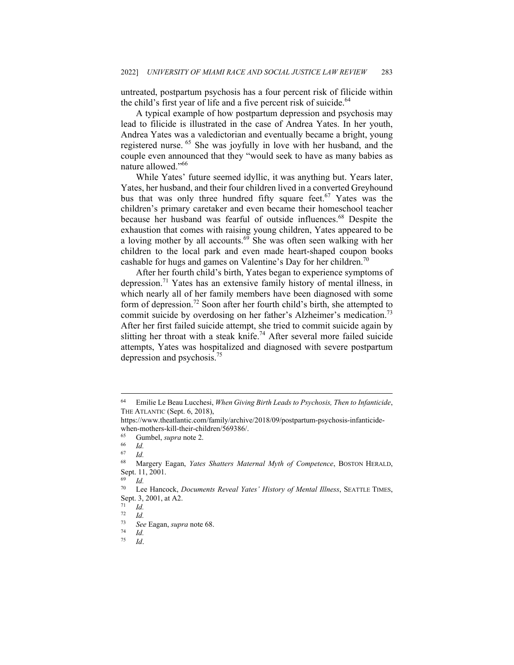untreated, postpartum psychosis has a four percent risk of filicide within the child's first year of life and a five percent risk of suicide. $64$ 

A typical example of how postpartum depression and psychosis may lead to filicide is illustrated in the case of Andrea Yates. In her youth, Andrea Yates was a valedictorian and eventually became a bright, young registered nurse. 65 She was joyfully in love with her husband, and the couple even announced that they "would seek to have as many babies as nature allowed."66

While Yates' future seemed idyllic, it was anything but. Years later, Yates, her husband, and their four children lived in a converted Greyhound bus that was only three hundred fifty square feet.<sup>67</sup> Yates was the children's primary caretaker and even became their homeschool teacher because her husband was fearful of outside influences.<sup>68</sup> Despite the exhaustion that comes with raising young children, Yates appeared to be a loving mother by all accounts. $69$  She was often seen walking with her children to the local park and even made heart-shaped coupon books cashable for hugs and games on Valentine's Day for her children.<sup>70</sup>

After her fourth child's birth, Yates began to experience symptoms of depression.71 Yates has an extensive family history of mental illness, in which nearly all of her family members have been diagnosed with some form of depression.<sup>72</sup> Soon after her fourth child's birth, she attempted to commit suicide by overdosing on her father's Alzheimer's medication.<sup>73</sup> After her first failed suicide attempt, she tried to commit suicide again by slitting her throat with a steak knife.<sup>74</sup> After several more failed suicide attempts, Yates was hospitalized and diagnosed with severe postpartum depression and psychosis.<sup>75</sup>

<sup>64</sup> Emilie Le Beau Lucchesi, *When Giving Birth Leads to Psychosis, Then to Infanticide*, THE ATLANTIC (Sept. 6, 2018),

https://www.theatlantic.com/family/archive/2018/09/postpartum-psychosis-infanticidewhen-mothers-kill-their-children/569386/.

<sup>65</sup> Gumbel, *supra* note 2. 66 *Id.*

 $\frac{67}{68}$  *Id.* 

<sup>68</sup> Margery Eagan, *Yates Shatters Maternal Myth of Competence*, BOSTON HERALD, Sept. 11, 2001.

 $\frac{69}{70}$  *Id.* 

Lee Hancock, *Documents Reveal Yates' History of Mental Illness*, SEATTLE TIMES, Sept. 3, 2001, at A2.

 $\frac{71}{72}$  *Id.* 

 $rac{72}{73}$  *Id.* 

<sup>73</sup> *See* Eagan, *supra* note 68. 74 *Id.*

<sup>75</sup> *Id*.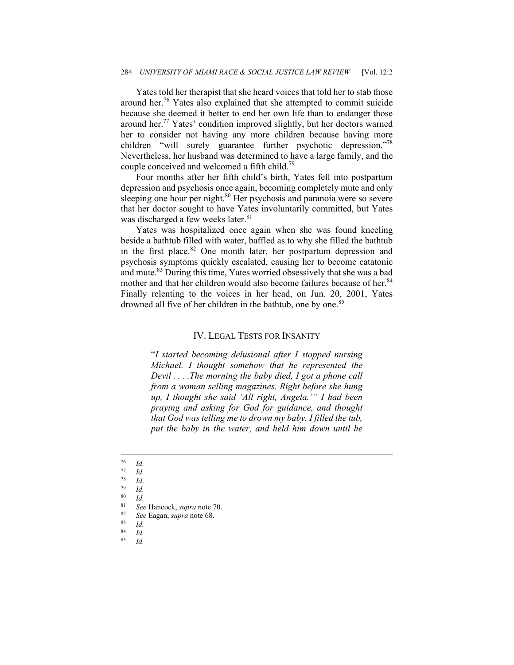Yates told her therapist that she heard voices that told her to stab those around her.76 Yates also explained that she attempted to commit suicide because she deemed it better to end her own life than to endanger those around her.77 Yates' condition improved slightly, but her doctors warned her to consider not having any more children because having more children "will surely guarantee further psychotic depression."<sup>78</sup> Nevertheless, her husband was determined to have a large family, and the couple conceived and welcomed a fifth child.<sup>79</sup>

Four months after her fifth child's birth, Yates fell into postpartum depression and psychosis once again, becoming completely mute and only sleeping one hour per night.<sup>80</sup> Her psychosis and paranoia were so severe that her doctor sought to have Yates involuntarily committed, but Yates was discharged a few weeks later.<sup>81</sup>

Yates was hospitalized once again when she was found kneeling beside a bathtub filled with water, baffled as to why she filled the bathtub in the first place. $82$  One month later, her postpartum depression and psychosis symptoms quickly escalated, causing her to become catatonic and mute.83 During this time, Yates worried obsessively that she was a bad mother and that her children would also become failures because of her.<sup>84</sup> Finally relenting to the voices in her head, on Jun. 20, 2001, Yates drowned all five of her children in the bathtub, one by one.<sup>85</sup>

#### IV. LEGAL TESTS FOR INSANITY

"*I started becoming delusional after I stopped nursing Michael. I thought somehow that he represented the Devil . . . .The morning the baby died, I got a phone call from a woman selling magazines. Right before she hung up, I thought she said 'All right, Angela.'" I had been praying and asking for God for guidance, and thought that God was telling me to drown my baby. I filled the tub, put the baby in the water, and held him down until he* 

 $rac{76}{77}$  *Id.* 

 $\frac{77}{78}$  *Id.* 

<sup>78</sup> *Id*. 79 *Id.*

 $\frac{80}{81}$  *Id.* 

<sup>81</sup> *See* Hancock, *supra* note 70. 82 *See* Eagan, *supra* note 68. 83 *Id.*

 $\frac{84}{85}$  *Id.* 85 *Id.*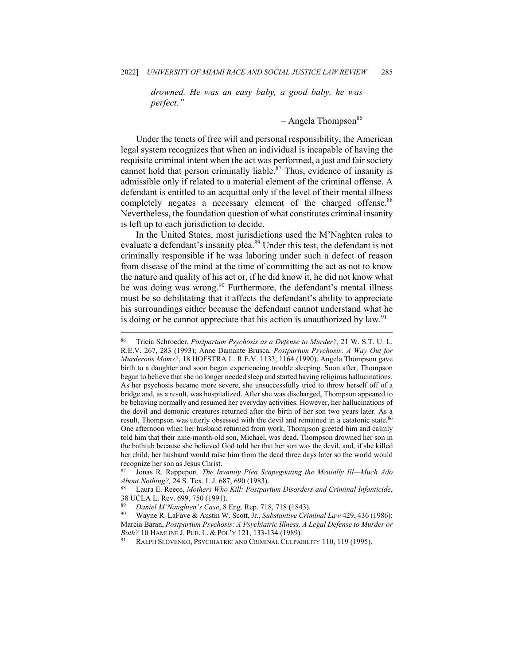*drowned. He was an easy baby, a good baby, he was perfect."*

 $-$  Angela Thompson<sup>86</sup>

Under the tenets of free will and personal responsibility, the American legal system recognizes that when an individual is incapable of having the requisite criminal intent when the act was performed, a just and fair society cannot hold that person criminally liable.<sup>87</sup> Thus, evidence of insanity is admissible only if related to a material element of the criminal offense. A defendant is entitled to an acquittal only if the level of their mental illness completely negates a necessary element of the charged offense.<sup>88</sup> Nevertheless, the foundation question of what constitutes criminal insanity is left up to each jurisdiction to decide.

In the United States, most jurisdictions used the M'Naghten rules to evaluate a defendant's insanity plea.<sup>89</sup> Under this test, the defendant is not criminally responsible if he was laboring under such a defect of reason from disease of the mind at the time of committing the act as not to know the nature and quality of his act or, if he did know it, he did not know what he was doing was wrong.<sup>90</sup> Furthermore, the defendant's mental illness must be so debilitating that it affects the defendant's ability to appreciate his surroundings either because the defendant cannot understand what he is doing or he cannot appreciate that his action is unauthorized by  $law<sup>91</sup>$ 

<sup>86</sup> Tricia Schroeder, *Postpartum Psychosis as a Defense to Murder?,* 21 W. S.T. U. L. R.E.V. 267, 283 (1993); Anne Damante Brusca, *Postpartum Psychosis: A Way Out for Murderous Moms?*, 18 HOFSTRA L. R.E.V. 1133, 1164 (1990). Angela Thompson gave birth to a daughter and soon began experiencing trouble sleeping. Soon after, Thompson began to believe that she no longer needed sleep and started having religious hallucinations. As her psychosis became more severe, she unsuccessfully tried to throw herself off of a bridge and, as a result, was hospitalized. After she was discharged, Thompson appeared to be behaving normally and resumed her everyday activities. However, her hallucinations of the devil and demonic creatures returned after the birth of her son two years later. As a result, Thompson was utterly obsessed with the devil and remained in a catatonic state.86 One afternoon when her husband returned from work, Thompson greeted him and calmly told him that their nine-month-old son, Michael, was dead. Thompson drowned her son in the bathtub because she believed God told her that her son was the devil, and, if she killed her child, her husband would raise him from the dead three days later so the world would recognize her son as Jesus Christ.

<sup>87</sup> Jonas R. Rappeport*, The Insanity Plea Scapegoating the Mentally Ill—Much Ado About Nothing?,* 24 S. Tex. L.J. 687, 690 (1983).<br><sup>88</sup> Laura E. Reece, *Mothers Who Kill: Postpartum Disorders and Criminal Infanticide*,

<sup>38</sup> UCLA L. Rev. 699, 750 (1991).

*Daniel M'Naughten's Case*, 8 Eng. Rep. 718, 718 (1843).<br>Wayne R. LaFave & Austin W. Scott, Jr., *Substantive Criminal Law* 429, 436 (1986); Marcia Baran, *Postpartum Psychosis: A Psychiatric Illness, A Legal Defense to Murder or Both?* 10 HAMLINE J. PUB. L. & POL'Y 121, 133-134 (1989).<br><sup>91</sup> RALPH SLOVENKO, PSYCHIATRIC AND CRIMINAL CULPABILITY 110, 119 (1995).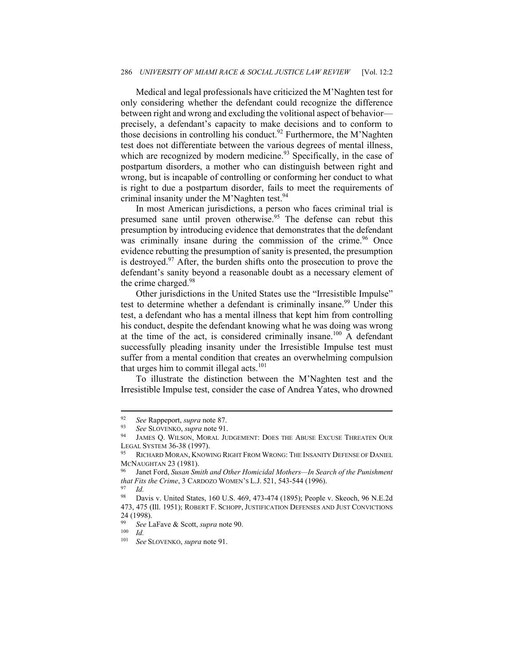Medical and legal professionals have criticized the M'Naghten test for only considering whether the defendant could recognize the difference between right and wrong and excluding the volitional aspect of behavior precisely, a defendant's capacity to make decisions and to conform to those decisions in controlling his conduct.<sup>92</sup> Furthermore, the M'Naghten test does not differentiate between the various degrees of mental illness, which are recognized by modern medicine.<sup>93</sup> Specifically, in the case of postpartum disorders, a mother who can distinguish between right and wrong, but is incapable of controlling or conforming her conduct to what is right to due a postpartum disorder, fails to meet the requirements of criminal insanity under the M'Naghten test.<sup>94</sup>

In most American jurisdictions, a person who faces criminal trial is presumed sane until proven otherwise.<sup>95</sup> The defense can rebut this presumption by introducing evidence that demonstrates that the defendant was criminally insane during the commission of the crime.<sup>96</sup> Once evidence rebutting the presumption of sanity is presented, the presumption is destroyed. $97$  After, the burden shifts onto the prosecution to prove the defendant's sanity beyond a reasonable doubt as a necessary element of the crime charged.<sup>98</sup>

Other jurisdictions in the United States use the "Irresistible Impulse" test to determine whether a defendant is criminally insane.<sup>99</sup> Under this test, a defendant who has a mental illness that kept him from controlling his conduct, despite the defendant knowing what he was doing was wrong at the time of the act, is considered criminally insane.<sup>100</sup> A defendant successfully pleading insanity under the Irresistible Impulse test must suffer from a mental condition that creates an overwhelming compulsion that urges him to commit illegal acts. $101$ 

To illustrate the distinction between the M'Naghten test and the Irresistible Impulse test, consider the case of Andrea Yates, who drowned

<sup>92</sup> *See* Rappeport, *supra* note 87. 93 *See* SLOVENKO, *supra* note 91. 94 JAMES Q. WILSON, MORAL JUDGEMENT: DOES THE ABUSE EXCUSE THREATEN OUR LEGAL SYSTEM 36-38 (1997).<br><sup>95</sup> RICHARD MORAN, KNOWING RIGHT FROM WRONG: THE INSANITY DEFENSE OF DANIEL

MCNAUGHTAN 23 (1981).<br><sup>96</sup> Janet Ford, *Susan Smith and Other Homicidal Mothers—In Search of the Punishment* 

*that Fits the Crime*, 3 CARDOZO WOMEN'S L.J. 521, 543-544 (1996).<br><sup>97</sup> *Id.*<br><sup>98</sup> Davis y United States, 160 U.S. 469, 473-474 (1895): People

Davis v. United States, 160 U.S. 469, 473-474 (1895); People v. Skeoch, 96 N.E.2d 473, 475 (Ill. 1951); ROBERT F. SCHOPP, JUSTIFICATION DEFENSES AND JUST CONVICTIONS 24 (1998).

<sup>99</sup> *See* LaFave & Scott, *supra* note 90. 100 *Id.*

<sup>101</sup> *See* SLOVENKO, *supra* note 91.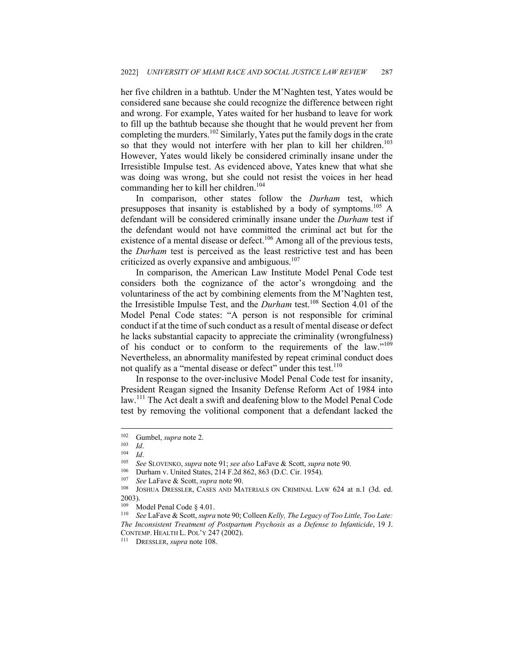her five children in a bathtub. Under the M'Naghten test, Yates would be considered sane because she could recognize the difference between right and wrong. For example, Yates waited for her husband to leave for work to fill up the bathtub because she thought that he would prevent her from completing the murders.102 Similarly, Yates put the family dogs in the crate so that they would not interfere with her plan to kill her children.<sup>103</sup> However, Yates would likely be considered criminally insane under the Irresistible Impulse test. As evidenced above, Yates knew that what she was doing was wrong, but she could not resist the voices in her head commanding her to kill her children.<sup>104</sup>

In comparison, other states follow the *Durham* test, which presupposes that insanity is established by a body of symptoms.<sup>105</sup> A defendant will be considered criminally insane under the *Durham* test if the defendant would not have committed the criminal act but for the existence of a mental disease or defect.<sup>106</sup> Among all of the previous tests, the *Durham* test is perceived as the least restrictive test and has been criticized as overly expansive and ambiguous.<sup>107</sup>

In comparison, the American Law Institute Model Penal Code test considers both the cognizance of the actor's wrongdoing and the voluntariness of the act by combining elements from the M'Naghten test, the Irresistible Impulse Test, and the *Durham* test.108 Section 4.01 of the Model Penal Code states: "A person is not responsible for criminal conduct if at the time of such conduct as a result of mental disease or defect he lacks substantial capacity to appreciate the criminality (wrongfulness) of his conduct or to conform to the requirements of the law."109 Nevertheless, an abnormality manifested by repeat criminal conduct does not qualify as a "mental disease or defect" under this test.<sup>110</sup>

In response to the over-inclusive Model Penal Code test for insanity, President Reagan signed the Insanity Defense Reform Act of 1984 into law.<sup>111</sup> The Act dealt a swift and deafening blow to the Model Penal Code test by removing the volitional component that a defendant lacked the

<sup>&</sup>lt;sup>102</sup> Gumbel, *supra* note 2.<br>
<sup>103</sup> *Id.*<br>
<sup>104</sup> *Id.*<br>
See SLOVENKO, *supra* note 91; *see also* LaFave & Scott, *supra* note 90.<br>
<sup>106</sup> Durham v. United States, 214 F.2d 862, 863 (D.C. Cir. 1954).<br>
<sup>107</sup> *See* LaFave &  $2003$ ).

<sup>&</sup>lt;sup>109</sup> Model Penal Code § 4.01.<br><sup>110</sup> See LaFave & Scott, *supra* note 90; Colleen *Kelly, The Legacy of Too Little, Too Late: The Inconsistent Treatment of Postpartum Psychosis as a Defense to Infanticide*, 19 J. CONTEMP. HEALTH L. POL'Y 247 (2002). 111 DRESSLER, *supra* note 108.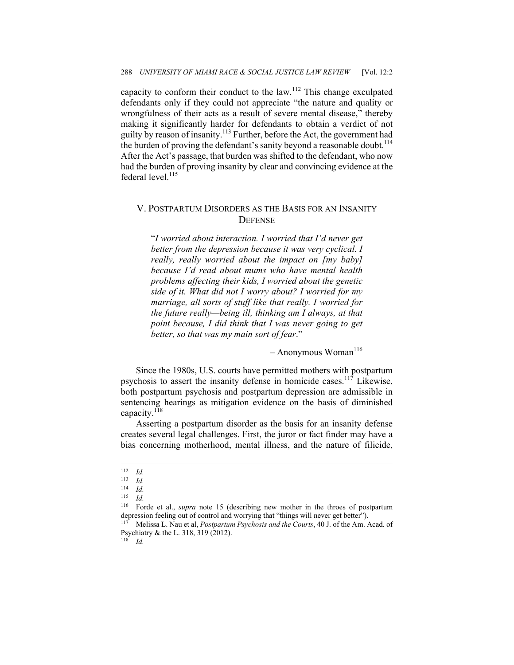capacity to conform their conduct to the law.<sup>112</sup> This change exculpated defendants only if they could not appreciate "the nature and quality or wrongfulness of their acts as a result of severe mental disease," thereby making it significantly harder for defendants to obtain a verdict of not guilty by reason of insanity.<sup>113</sup> Further, before the Act, the government had the burden of proving the defendant's sanity beyond a reasonable doubt.<sup>114</sup> After the Act's passage, that burden was shifted to the defendant, who now had the burden of proving insanity by clear and convincing evidence at the federal level. $^{115}$ 

#### V. POSTPARTUM DISORDERS AS THE BASIS FOR AN INSANITY **DEFENSE**

"*I worried about interaction. I worried that I'd never get better from the depression because it was very cyclical. I really, really worried about the impact on [my baby] because I'd read about mums who have mental health problems affecting their kids, I worried about the genetic side of it. What did not I worry about? I worried for my marriage, all sorts of stuff like that really. I worried for the future really—being ill, thinking am I always, at that point because, I did think that I was never going to get better, so that was my main sort of fear*."

 $-$  Anonymous Woman<sup>116</sup>

Since the 1980s, U.S. courts have permitted mothers with postpartum psychosis to assert the insanity defense in homicide cases.<sup>117</sup> Likewise, both postpartum psychosis and postpartum depression are admissible in sentencing hearings as mitigation evidence on the basis of diminished capacity. $^{118}$ 

Asserting a postpartum disorder as the basis for an insanity defense creates several legal challenges. First, the juror or fact finder may have a bias concerning motherhood, mental illness, and the nature of filicide,

118 *Id.*

 $\frac{112}{113}$  *Id.* 

 $\frac{113}{114}$  *Id.* 

 $\frac{114}{115}$  *Id.* 

 $\frac{115}{116}$  *Id.* 

Forde et al., *supra* note 15 (describing new mother in the throes of postpartum depression feeling out of control and worrying that "things will never get better"). 117 Melissa L. Nau et al, *Postpartum Psychosis and the Courts*, 40 J. of the Am. Acad. of

Psychiatry & the L. 318, 319 (2012).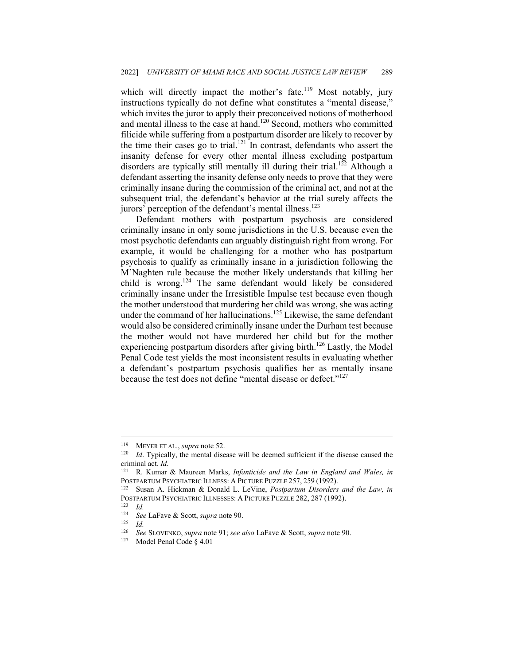which will directly impact the mother's fate.<sup>119</sup> Most notably, jury instructions typically do not define what constitutes a "mental disease," which invites the juror to apply their preconceived notions of motherhood and mental illness to the case at hand.<sup>120</sup> Second, mothers who committed filicide while suffering from a postpartum disorder are likely to recover by the time their cases go to trial.<sup>121</sup> In contrast, defendants who assert the insanity defense for every other mental illness excluding postpartum disorders are typically still mentally ill during their trial.<sup>122</sup> Although a defendant asserting the insanity defense only needs to prove that they were criminally insane during the commission of the criminal act, and not at the subsequent trial, the defendant's behavior at the trial surely affects the jurors' perception of the defendant's mental illness.<sup>123</sup>

Defendant mothers with postpartum psychosis are considered criminally insane in only some jurisdictions in the U.S. because even the most psychotic defendants can arguably distinguish right from wrong. For example, it would be challenging for a mother who has postpartum psychosis to qualify as criminally insane in a jurisdiction following the M'Naghten rule because the mother likely understands that killing her child is wrong.<sup>124</sup> The same defendant would likely be considered criminally insane under the Irresistible Impulse test because even though the mother understood that murdering her child was wrong, she was acting under the command of her hallucinations.<sup>125</sup> Likewise, the same defendant would also be considered criminally insane under the Durham test because the mother would not have murdered her child but for the mother experiencing postpartum disorders after giving birth.<sup>126</sup> Lastly, the Model Penal Code test yields the most inconsistent results in evaluating whether a defendant's postpartum psychosis qualifies her as mentally insane because the test does not define "mental disease or defect."<sup>127</sup>

<sup>&</sup>lt;sup>119</sup> MEYER ET AL., *supra* note 52.<br><sup>120</sup> *Id*. Typically, the mental disease will be deemed sufficient if the disease caused the criminal act. *Id*.<br><sup>121</sup> R. Kumar & Maureen Marks, *Infanticide and the Law in England and Wales, in* 

POSTPARTUM PSYCHIATRIC ILLNESS: A PICTURE PUZZLE 257, 259 (1992).<br><sup>122</sup> Susan A. Hickman & Donald L. LeVine, *Postpartum Disorders and the Law, in* 

POSTPARTUM PSYCHIATRIC ILLNESSES: A PICTURE PUZZLE 282, 287 (1992).<br><sup>123</sup> Id.<br><sup>124</sup> See I aFave & Scott, sung note 90.

<sup>124</sup> *See* LaFave & Scott, *supra* note 90. 125 *Id.*

<sup>126</sup> *See* SLOVENKO, *supra* note 91; *see also* LaFave & Scott, *supra* note 90. 127 Model Penal Code § 4.01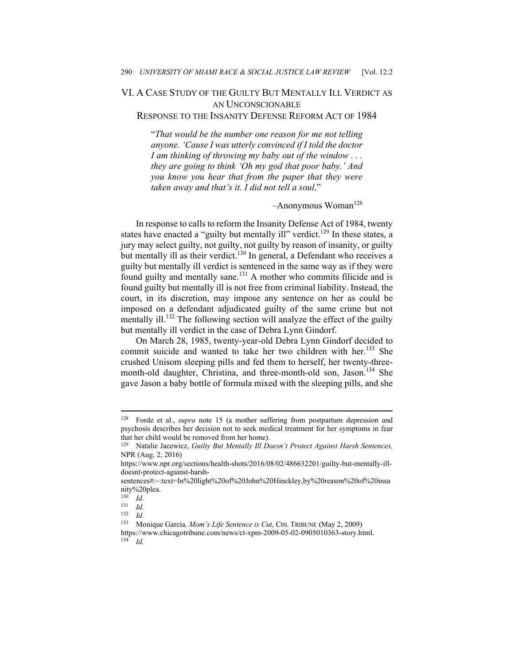### VI. A CASE STUDY OF THE GUILTY BUT MENTALLY ILL VERDICT AS AN UNCONSCIONABLE RESPONSE TO THE INSANITY DEFENSE REFORM ACT OF 1984

"*That would be the number one reason for me not telling anyone. 'Cause I was utterly convinced if I told the doctor I am thinking of throwing my baby out of the window . . . they are going to think 'Oh my god that poor baby.' And you know you hear that from the paper that they were taken away and that's it. I did not tell a soul*."

#### $-$ Anonymous Woman<sup>128</sup>

In response to calls to reform the Insanity Defense Act of 1984, twenty states have enacted a "guilty but mentally ill" verdict.<sup>129</sup> In these states, a jury may select guilty, not guilty, not guilty by reason of insanity, or guilty but mentally ill as their verdict.<sup>130</sup> In general, a Defendant who receives a guilty but mentally ill verdict is sentenced in the same way as if they were found guilty and mentally sane.131 A mother who commits filicide and is found guilty but mentally ill is not free from criminal liability. Instead, the court, in its discretion, may impose any sentence on her as could be imposed on a defendant adjudicated guilty of the same crime but not mentally ill.<sup>132</sup> The following section will analyze the effect of the guilty but mentally ill verdict in the case of Debra Lynn Gindorf.

On March 28, 1985, twenty-year-old Debra Lynn Gindorf decided to commit suicide and wanted to take her two children with her.<sup>133</sup> She crushed Unisom sleeping pills and fed them to herself, her twenty-threemonth-old daughter, Christina, and three-month-old son, Jason.<sup>134</sup> She gave Jason a baby bottle of formula mixed with the sleeping pills, and she

<sup>128</sup> Forde et al., *supra* note 15 (a mother suffering from postpartum depression and psychosis describes her decision not to seek medical treatment for her symptoms in fear that her child would be removed from her home).

<sup>129</sup> Natalie Jacewicz, *Guilty But Mentally Ill Doesn't Protect Against Harsh Sentences,* NPR (Aug. 2, 2016)

https://www.npr.org/sections/health-shots/2016/08/02/486632201/guilty-but-mentally-illdoesnt-protect-against-harsh-

sentences#:~:text=In%20light%20of%20John%20Hinckley,by%20reason%20of%20insa nity%20plea.<br> $^{130}$  *Id* 

 $\frac{130}{131}$  *Id.* 

 $\frac{131}{132}$  *Id.* 

 $\frac{132}{133}$  *Id.* 

<sup>133</sup> Monique Garcia*, Mom's Life Sentence is Cut*, CHI. TRIBUNE (May 2, 2009) https://www.chicagotribune.com/news/ct-xpm-2009-05-02-0905010363-story.html. 134 *Id.*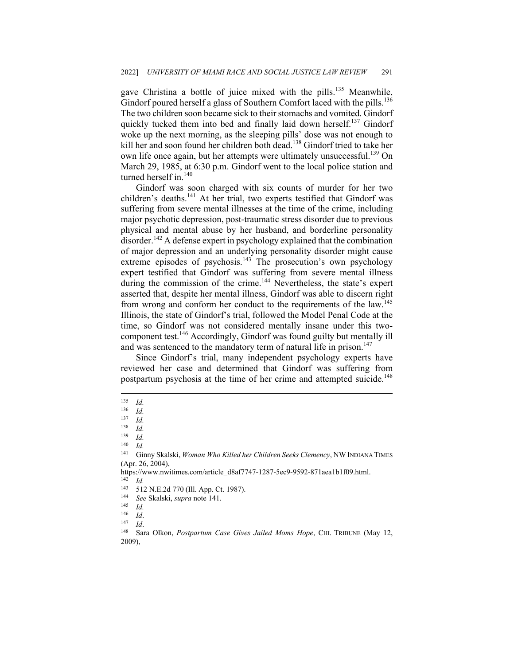gave Christina a bottle of juice mixed with the pills.<sup>135</sup> Meanwhile, Gindorf poured herself a glass of Southern Comfort laced with the pills.<sup>136</sup> The two children soon became sick to their stomachs and vomited. Gindorf quickly tucked them into bed and finally laid down herself.<sup>137</sup> Gindorf woke up the next morning, as the sleeping pills' dose was not enough to kill her and soon found her children both dead.<sup>138</sup> Gindorf tried to take her own life once again, but her attempts were ultimately unsuccessful.<sup>139</sup> On March 29, 1985, at 6:30 p.m. Gindorf went to the local police station and turned herself in.<sup>140</sup>

Gindorf was soon charged with six counts of murder for her two children's deaths.<sup>141</sup> At her trial, two experts testified that Gindorf was suffering from severe mental illnesses at the time of the crime, including major psychotic depression, post-traumatic stress disorder due to previous physical and mental abuse by her husband, and borderline personality disorder.<sup>142</sup> A defense expert in psychology explained that the combination of major depression and an underlying personality disorder might cause extreme episodes of psychosis.<sup>143</sup> The prosecution's own psychology expert testified that Gindorf was suffering from severe mental illness during the commission of the crime.<sup>144</sup> Nevertheless, the state's expert asserted that, despite her mental illness, Gindorf was able to discern right from wrong and conform her conduct to the requirements of the law.<sup>145</sup> Illinois, the state of Gindorf's trial, followed the Model Penal Code at the time, so Gindorf was not considered mentally insane under this twocomponent test.146 Accordingly, Gindorf was found guilty but mentally ill and was sentenced to the mandatory term of natural life in prison.<sup>147</sup>

Since Gindorf's trial, many independent psychology experts have reviewed her case and determined that Gindorf was suffering from postpartum psychosis at the time of her crime and attempted suicide.<sup>148</sup>

 $\frac{135}{136}$  *Id.* 

 $\frac{136}{137}$  *Id.* 

 $\frac{137}{138}$  *Id.* 

 $\frac{138}{139}$  *Id.* 

 $\frac{139}{140}$  *Id.* 

 $\frac{140}{141}$  *Id.* 

<sup>141</sup> Ginny Skalski, *Woman Who Killed her Children Seeks Clemency*, NWINDIANA TIMES (Apr. 26, 2004),

https://www.nwitimes.com/article\_d8af7747-1287-5ec9-9592-871aea1b1f09.html.<br><sup>142</sup> *Id.*<br><sup>143</sup> 512 N E 24.770 (Ill. Agg. Ct. 1987).

<sup>143 512</sup> N.E.2d 770 (Ill. App. Ct. 1987). 144 *See* Skalski, *supra* note 141. 145 *Id.*

<sup>146</sup> *Id.*<br>1<sup>47</sup> *Id.*<br><sup>148</sup> Sara Olkon, *Postpartum Case Gives Jailed Moms Hope*, CHI. TRIBUNE (May 12, 2009),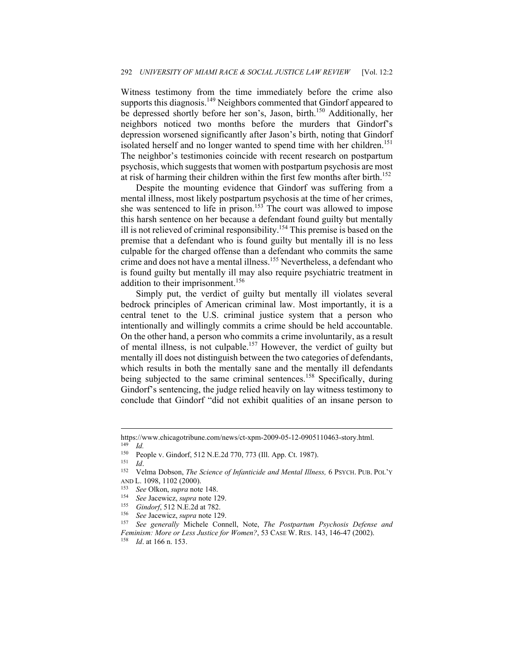Witness testimony from the time immediately before the crime also supports this diagnosis.<sup>149</sup> Neighbors commented that Gindorf appeared to be depressed shortly before her son's, Jason, birth.<sup>150</sup> Additionally, her neighbors noticed two months before the murders that Gindorf's depression worsened significantly after Jason's birth, noting that Gindorf isolated herself and no longer wanted to spend time with her children.<sup>151</sup> The neighbor's testimonies coincide with recent research on postpartum psychosis, which suggests that women with postpartum psychosis are most at risk of harming their children within the first few months after birth.<sup>152</sup>

Despite the mounting evidence that Gindorf was suffering from a mental illness, most likely postpartum psychosis at the time of her crimes, she was sentenced to life in prison.<sup>153</sup> The court was allowed to impose this harsh sentence on her because a defendant found guilty but mentally ill is not relieved of criminal responsibility.<sup>154</sup> This premise is based on the premise that a defendant who is found guilty but mentally ill is no less culpable for the charged offense than a defendant who commits the same crime and does not have a mental illness.<sup>155</sup> Nevertheless, a defendant who is found guilty but mentally ill may also require psychiatric treatment in addition to their imprisonment.<sup>156</sup>

Simply put, the verdict of guilty but mentally ill violates several bedrock principles of American criminal law. Most importantly, it is a central tenet to the U.S. criminal justice system that a person who intentionally and willingly commits a crime should be held accountable. On the other hand, a person who commits a crime involuntarily, as a result of mental illness, is not culpable.157 However, the verdict of guilty but mentally ill does not distinguish between the two categories of defendants, which results in both the mentally sane and the mentally ill defendants being subjected to the same criminal sentences.<sup>158</sup> Specifically, during Gindorf's sentencing, the judge relied heavily on lay witness testimony to conclude that Gindorf "did not exhibit qualities of an insane person to

https://www.chicagotribune.com/news/ct-xpm-2009-05-12-0905110463-story.html.<br><sup>149</sup> *Id.*<br><sup>150</sup> People v. Gindorf, 512 N F 2d 770, 773 (Ill. App. Ct. 1987)

<sup>150</sup> People v. Gindorf, 512 N.E.2d 770, 773 (Ill. App. Ct. 1987).<br>
151 *Id.* 152 Velma Dobson, *The Science of Infanticide and Mental Illness*, 6 PSYCH. PUB. POL'Y

AND L. 1098, 1102 (2000).<br>
<sup>153</sup> See Olkon, *supra* note 148.<br>
<sup>154</sup> See Jacewicz, *supra* note 129.<br>
<sup>155</sup> Gindorf, 512 N.E.2d at 782.<br>
<sup>156</sup> See Jacewicz, *supra* note 129.<br>
<sup>157</sup> See generally Michele Connell, Note, *Th Feminism: More or Less Justice for Women?*, 53 CASE W. RES. 143, 146-47 (2002). 158 *Id*. at 166 n. 153.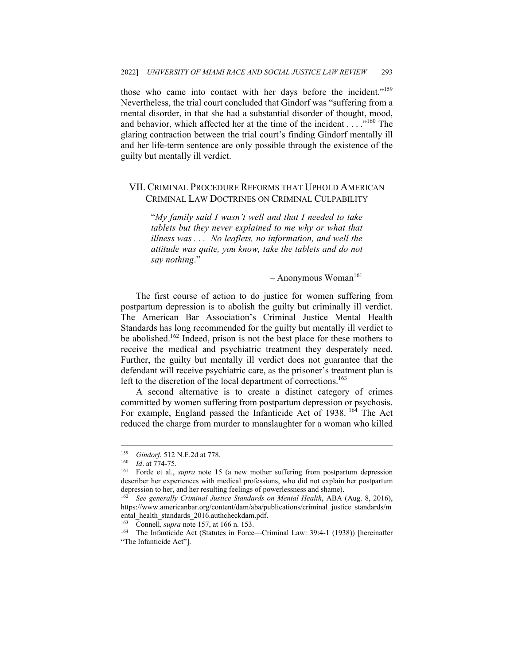those who came into contact with her days before the incident."<sup>159</sup> Nevertheless, the trial court concluded that Gindorf was "suffering from a mental disorder, in that she had a substantial disorder of thought, mood, and behavior, which affected her at the time of the incident . . . ."160 The glaring contraction between the trial court's finding Gindorf mentally ill and her life-term sentence are only possible through the existence of the guilty but mentally ill verdict.

### VII. CRIMINAL PROCEDURE REFORMS THAT UPHOLD AMERICAN CRIMINAL LAW DOCTRINES ON CRIMINAL CULPABILITY

"*My family said I wasn't well and that I needed to take tablets but they never explained to me why or what that illness was . . . No leaflets, no information, and well the attitude was quite, you know, take the tablets and do not say nothing*."

 $-$  Anonymous Woman<sup>161</sup>

The first course of action to do justice for women suffering from postpartum depression is to abolish the guilty but criminally ill verdict. The American Bar Association's Criminal Justice Mental Health Standards has long recommended for the guilty but mentally ill verdict to be abolished.<sup>162</sup> Indeed, prison is not the best place for these mothers to receive the medical and psychiatric treatment they desperately need. Further, the guilty but mentally ill verdict does not guarantee that the defendant will receive psychiatric care, as the prisoner's treatment plan is left to the discretion of the local department of corrections.<sup>163</sup>

A second alternative is to create a distinct category of crimes committed by women suffering from postpartum depression or psychosis. For example, England passed the Infanticide Act of 1938.<sup>164</sup> The Act reduced the charge from murder to manslaughter for a woman who killed

<sup>159</sup> Gindorf, 512 N.E.2d at 778.<br>
160 *Id.* at 774-75.<br>
<sup>161</sup> Forde et al., *supra* note 15 (a new mother suffering from postpartum depression describer her experiences with medical professions, who did not explain her postpartum depression to her, and her resulting feelings of powerlessness and shame). 162 *See generally Criminal Justice Standards on Mental Health*, ABA (Aug. 8, 2016),

https://www.americanbar.org/content/dam/aba/publications/criminal\_justice\_standards/m ental\_health\_standards\_2016.authcheckdam.pdf.

<sup>&</sup>lt;sup>163</sup> Connell, *supra* note 157, at 166 n. 153.<br><sup>164</sup> The Infanticide Act (Statutes in Force—Criminal Law: 39:4-1 (1938)) [hereinafter "The Infanticide Act"].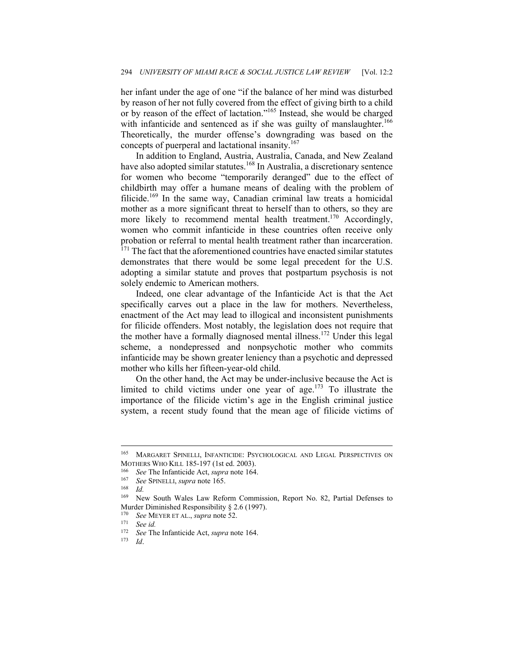her infant under the age of one "if the balance of her mind was disturbed by reason of her not fully covered from the effect of giving birth to a child or by reason of the effect of lactation."165 Instead, she would be charged with infanticide and sentenced as if she was guilty of manslaughter.<sup>166</sup> Theoretically, the murder offense's downgrading was based on the concepts of puerperal and lactational insanity.<sup>167</sup>

In addition to England, Austria, Australia, Canada, and New Zealand have also adopted similar statutes.<sup>168</sup> In Australia, a discretionary sentence for women who become "temporarily deranged" due to the effect of childbirth may offer a humane means of dealing with the problem of filicide.<sup>169</sup> In the same way, Canadian criminal law treats a homicidal mother as a more significant threat to herself than to others, so they are more likely to recommend mental health treatment.<sup>170</sup> Accordingly, women who commit infanticide in these countries often receive only probation or referral to mental health treatment rather than incarceration.  $171$  The fact that the aforementioned countries have enacted similar statutes demonstrates that there would be some legal precedent for the U.S. adopting a similar statute and proves that postpartum psychosis is not solely endemic to American mothers.

Indeed, one clear advantage of the Infanticide Act is that the Act specifically carves out a place in the law for mothers. Nevertheless, enactment of the Act may lead to illogical and inconsistent punishments for filicide offenders. Most notably, the legislation does not require that the mother have a formally diagnosed mental illness.<sup>172</sup> Under this legal scheme, a nondepressed and nonpsychotic mother who commits infanticide may be shown greater leniency than a psychotic and depressed mother who kills her fifteen-year-old child.

On the other hand, the Act may be under-inclusive because the Act is limited to child victims under one year of age.<sup>173</sup> To illustrate the importance of the filicide victim's age in the English criminal justice system, a recent study found that the mean age of filicide victims of

<sup>165</sup> MARGARET SPINELLI, INFANTICIDE: PSYCHOLOGICAL AND LEGAL PERSPECTIVES ON MOTHERS WHO KILL 185-197 (1st ed. 2003).<br>
<sup>166</sup> See The Infanticide Act, *supra* note 164.<br>
<sup>167</sup> See SPINELLI, *supra* note 165.<br> *Id.*<br>
<sup>169</sup> New South Wales Law Reform Comm

New South Wales Law Reform Commission, Report No. 82, Partial Defenses to Murder Diminished Responsibility § 2.6 (1997).

<sup>170</sup> *See* MEYER ET AL., *supra* note 52. 171 *See id.*

<sup>172</sup> *See* The Infanticide Act, *supra* note 164. 173 *Id*.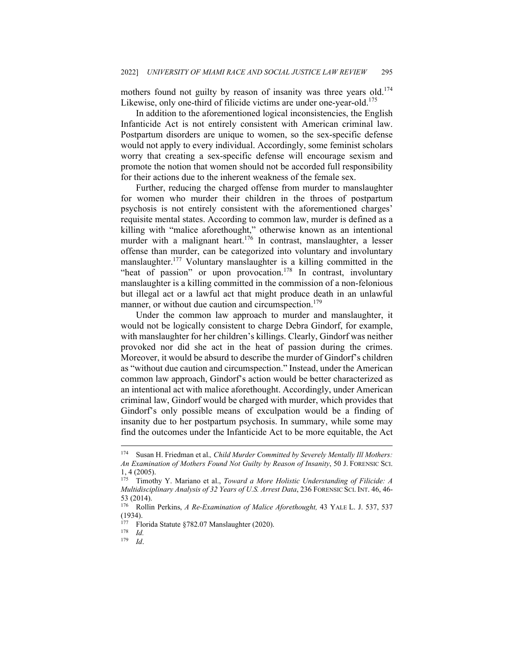mothers found not guilty by reason of insanity was three years old.<sup>174</sup> Likewise, only one-third of filicide victims are under one-year-old.<sup>175</sup>

In addition to the aforementioned logical inconsistencies, the English Infanticide Act is not entirely consistent with American criminal law. Postpartum disorders are unique to women, so the sex-specific defense would not apply to every individual. Accordingly, some feminist scholars worry that creating a sex-specific defense will encourage sexism and promote the notion that women should not be accorded full responsibility for their actions due to the inherent weakness of the female sex.

Further, reducing the charged offense from murder to manslaughter for women who murder their children in the throes of postpartum psychosis is not entirely consistent with the aforementioned charges' requisite mental states. According to common law, murder is defined as a killing with "malice aforethought," otherwise known as an intentional murder with a malignant heart.<sup>176</sup> In contrast, manslaughter, a lesser offense than murder, can be categorized into voluntary and involuntary manslaughter.<sup>177</sup> Voluntary manslaughter is a killing committed in the "heat of passion" or upon provocation.<sup>178</sup> In contrast, involuntary manslaughter is a killing committed in the commission of a non-felonious but illegal act or a lawful act that might produce death in an unlawful manner, or without due caution and circumspection.<sup>179</sup>

Under the common law approach to murder and manslaughter, it would not be logically consistent to charge Debra Gindorf, for example, with manslaughter for her children's killings. Clearly, Gindorf was neither provoked nor did she act in the heat of passion during the crimes. Moreover, it would be absurd to describe the murder of Gindorf's children as "without due caution and circumspection." Instead, under the American common law approach, Gindorf's action would be better characterized as an intentional act with malice aforethought. Accordingly, under American criminal law, Gindorf would be charged with murder, which provides that Gindorf's only possible means of exculpation would be a finding of insanity due to her postpartum psychosis. In summary, while some may find the outcomes under the Infanticide Act to be more equitable, the Act

<sup>174</sup> Susan H. Friedman et al.*, Child Murder Committed by Severely Mentally Ill Mothers: An Examination of Mothers Found Not Guilty by Reason of Insanity*, 50 J. FORENSIC SCI. 1, 4 (2005).

<sup>175</sup> Timothy Y. Mariano et al., *Toward a More Holistic Understanding of Filicide: A Multidisciplinary Analysis of 32 Years of U.S. Arrest Data*, 236 FORENSIC SCI. INT. 46, 46- 53 (2014).<br> $176$  Rollin

<sup>176</sup> Rollin Perkins, *A Re-Examination of Malice Aforethought,* 43 YALE L. J. 537, 537 (1934).

<sup>177</sup> Florida Statute §782.07 Manslaughter (2020). 178 *Id.*

<sup>179</sup> *Id*.